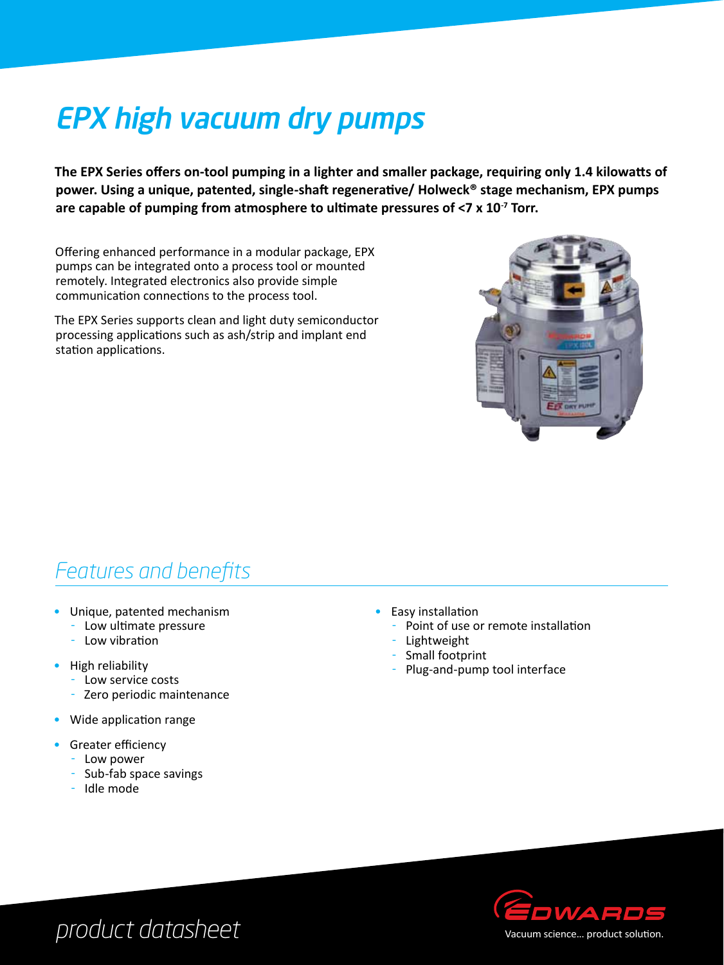# EPX high vacuum dry pumps

**The EPX Series offers on-tool pumping in a lighter and smaller package, requiring only 1.4 kilowatts of power. Using a unique, patented, single-shaft regenerative/ Holweck® stage mechanism, EPX pumps are capable of pumping from atmosphere to ultimate pressures of <7 x 10-7 Torr.**

Offering enhanced performance in a modular package, EPX pumps can be integrated onto a process tool or mounted remotely. Integrated electronics also provide simple communication connections to the process tool.

The EPX Series supports clean and light duty semiconductor processing applications such as ash/strip and implant end station applications.



#### *Features and benefits*

- • Unique, patented mechanism
	- Low ultimate pressure
	- $-Low$  vibration
- High reliability
	- Low service costs
	- Zero periodic maintenance
- Wide application range
- **Greater efficiency** 
	- Low power
	- Sub-fab space savings
	- Idle mode
- Easy installation
	- Point of use or remote installation
		- Lightweight
	- Small footprint
	- Plug-and-pump tool interface



## *product datasheet*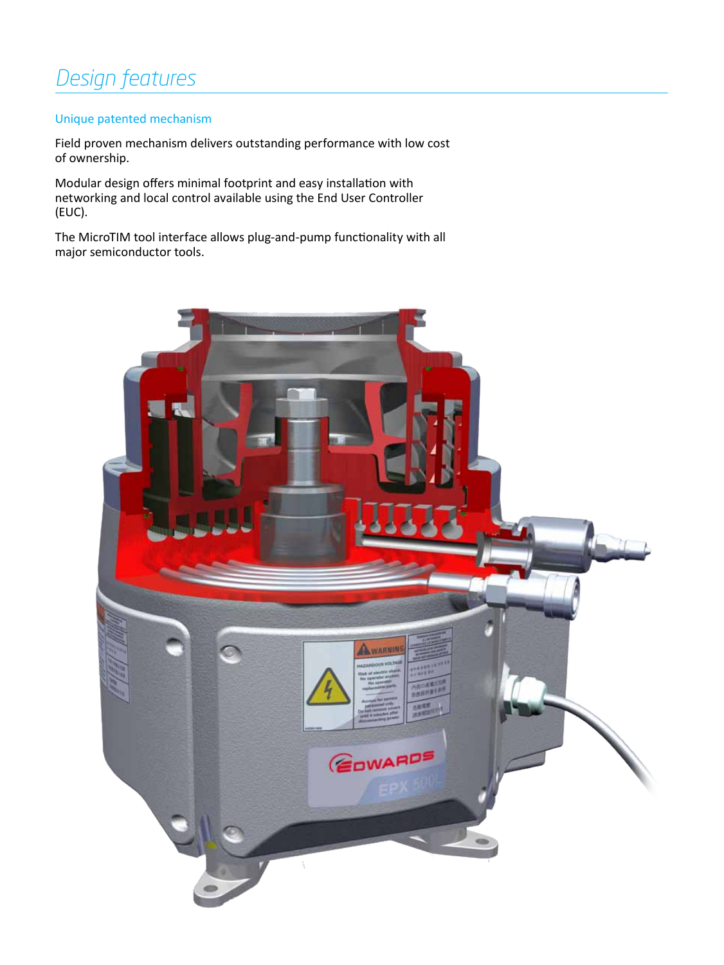### *Design features*

#### Unique patented mechanism

Field proven mechanism delivers outstanding performance with low cost of ownership.

Modular design offers minimal footprint and easy installation with networking and local control available using the End User Controller (EUC).

The MicroTIM tool interface allows plug-and-pump functionality with all major semiconductor tools.

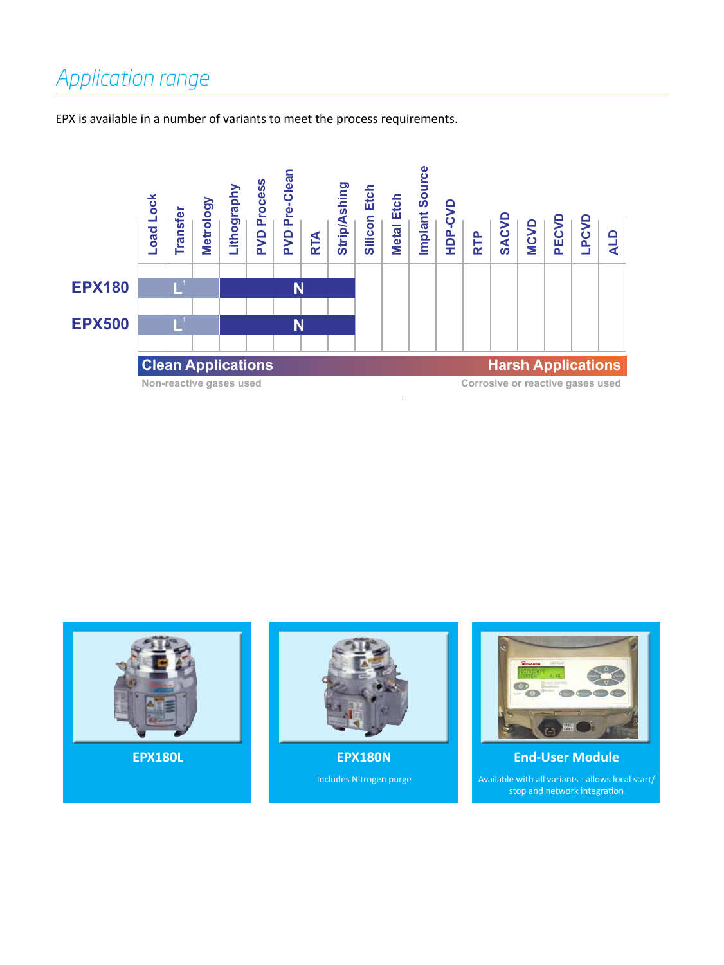## *Application range*

EPX is available in a number of variants to meet the process requirements.



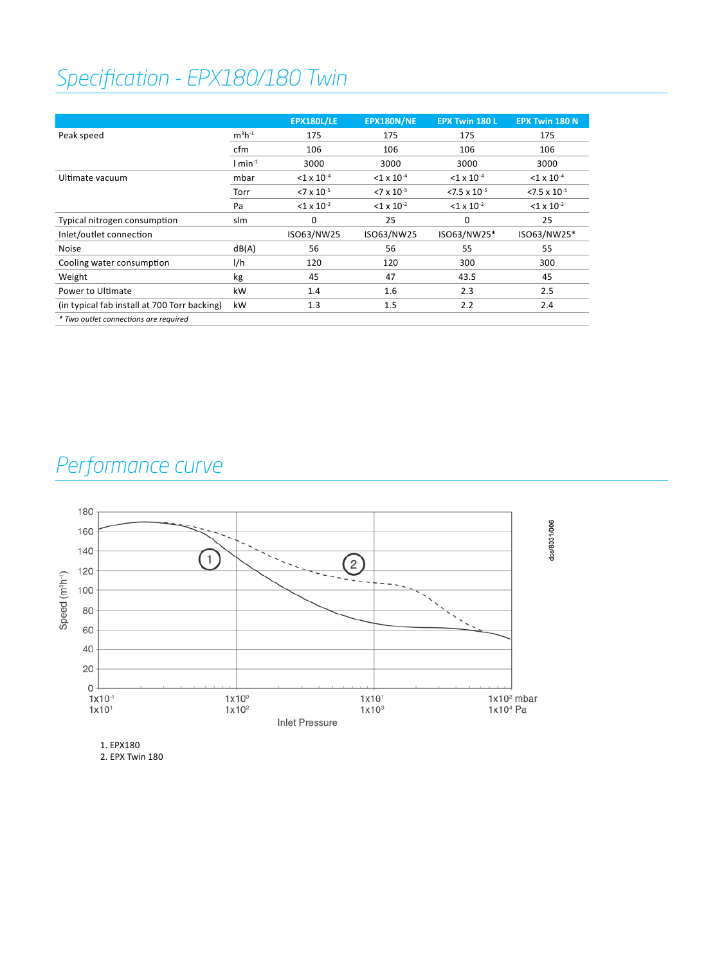## *Specification - EPX180/180 Twin*

|                                              |                       | <b>EPX180L/LE</b>        | EPX180N/NE               | <b>EPX Twin 180 L</b>    | <b>EPX Twin 180 N</b>    |
|----------------------------------------------|-----------------------|--------------------------|--------------------------|--------------------------|--------------------------|
| Peak speed                                   | $m^3h^{-1}$           | 175                      | 175                      | 175                      | 175                      |
|                                              | cfm                   | 106                      | 106                      | 106                      | 106                      |
|                                              | $1$ min <sup>-1</sup> | 3000                     | 3000                     | 3000                     | 3000                     |
| Ultimate vacuum                              | mbar                  | $<$ 1 x 10 <sup>-4</sup> | $<$ 1 x 10 <sup>-4</sup> | $<$ 1 x 10 <sup>-4</sup> | $<$ 1 x 10 <sup>-4</sup> |
|                                              | Torr                  | $<7 \times 10^{-5}$      | $<7 \times 10^{-5}$      | $< 7.5 \times 10^{-5}$   | $< 7.5 \times 10^{-5}$   |
|                                              | Pa                    | $<$ 1 x 10 <sup>-2</sup> | $<$ 1 x 10 <sup>-2</sup> | $<$ 1 x 10 <sup>-2</sup> | $<$ 1 x 10 <sup>-2</sup> |
| Typical nitrogen consumption                 | slm                   | $\mathbf 0$              | 25                       | $\Omega$                 | 25                       |
| Inlet/outlet connection                      |                       | ISO63/NW25               | ISO63/NW25               | ISO63/NW25*              | ISO63/NW25*              |
| <b>Noise</b>                                 | dB(A)                 | 56                       | 56                       | 55                       | 55                       |
| Cooling water consumption                    | l/h                   | 120                      | 120                      | 300                      | 300                      |
| Weight                                       | kg                    | 45                       | 47                       | 43.5                     | 45                       |
| Power to Ultimate                            | kW                    | 1.4                      | 1.6                      | 2.3                      | 2.5                      |
| (in typical fab install at 700 Torr backing) | kW                    | 1.3                      | 1.5                      | 2.2                      | 2.4                      |
| * Two outlet connections are required        |                       |                          |                          |                          |                          |

### *Performance curve*



1. EPX180 2. EPX Twin 180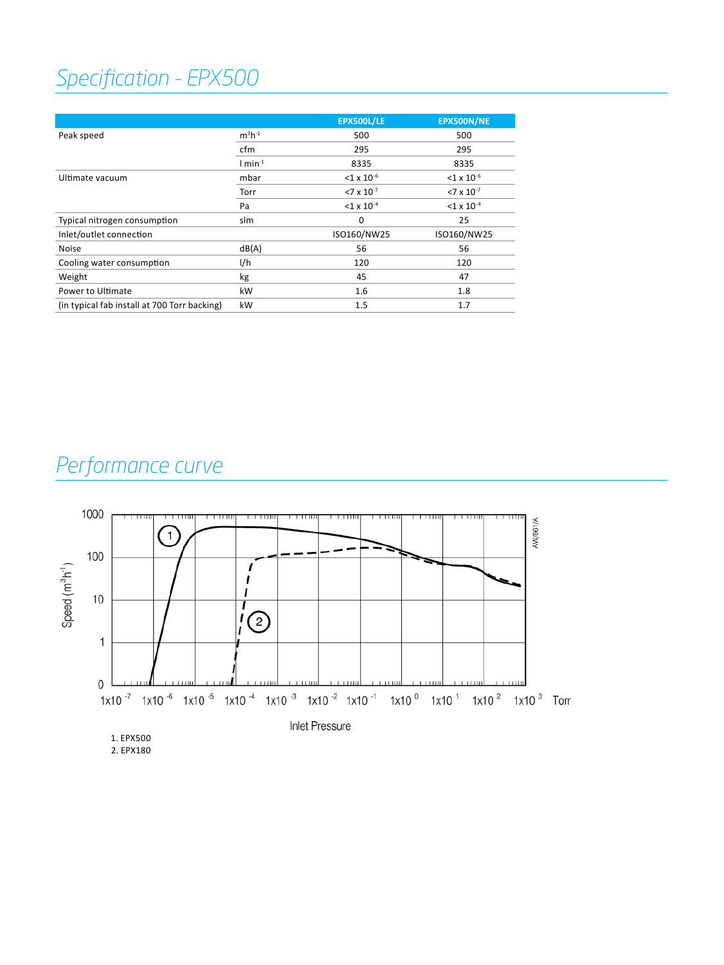## *Specification - EPX500*

|                                              |                       | <b>EPX500L/LE</b>        | EPX500N/NE               |
|----------------------------------------------|-----------------------|--------------------------|--------------------------|
| Peak speed                                   | $m^3h^{-1}$           | 500                      | 500                      |
|                                              | cfm                   | 295                      | 295                      |
|                                              | $1$ min <sup>-1</sup> | 8335                     | 8335                     |
| Ultimate vacuum                              | mbar                  | $<$ 1 x 10 <sup>-6</sup> | $<$ 1 x 10 <sup>-6</sup> |
|                                              | Torr                  | $<7 \times 10^{-7}$      | $<7 \times 10^{-7}$      |
|                                              | Pa                    | $<$ 1 x 10 <sup>-4</sup> | $<$ 1 x 10 <sup>-4</sup> |
| Typical nitrogen consumption                 | slm                   | 0                        | 25                       |
| Inlet/outlet connection                      |                       | ISO160/NW25              | ISO160/NW25              |
| <b>Noise</b>                                 | dB(A)                 | 56                       | 56                       |
| Cooling water consumption                    | I/h                   | 120                      | 120                      |
| Weight                                       | kg                    | 45                       | 47                       |
| Power to Ultimate                            | kW                    | 1.6                      | 1.8                      |
| (in typical fab install at 700 Torr backing) | kW                    | 1.5                      | 1.7                      |

## *Performance curve*

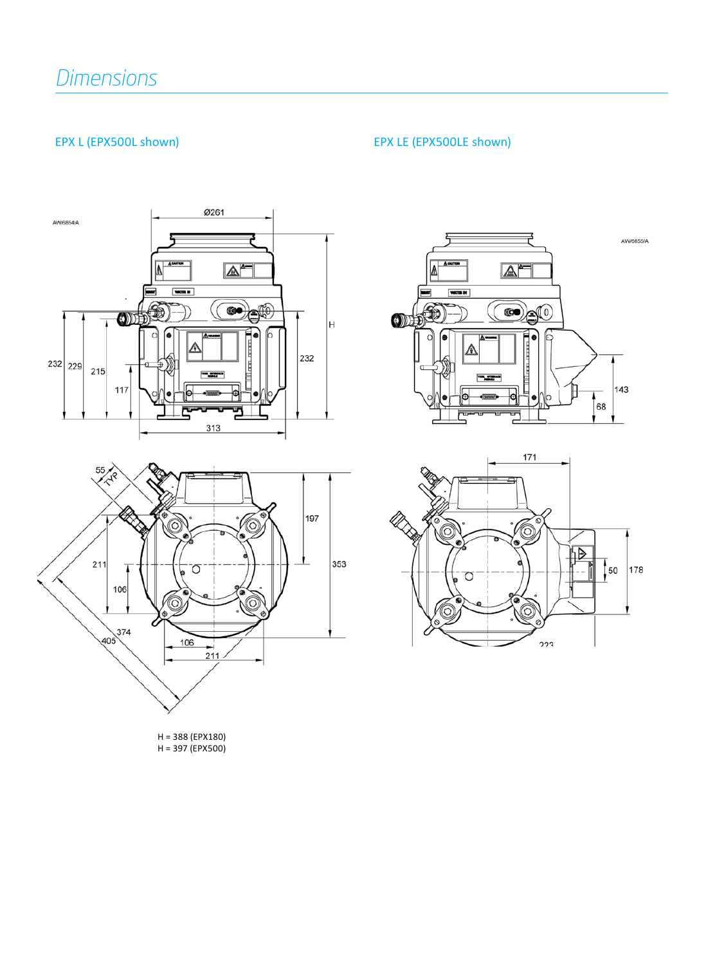#### EPX L (EPX500L shown) EPX LE (EPX500LE shown)





H = 388 (EPX180) H = 397 (EPX500)



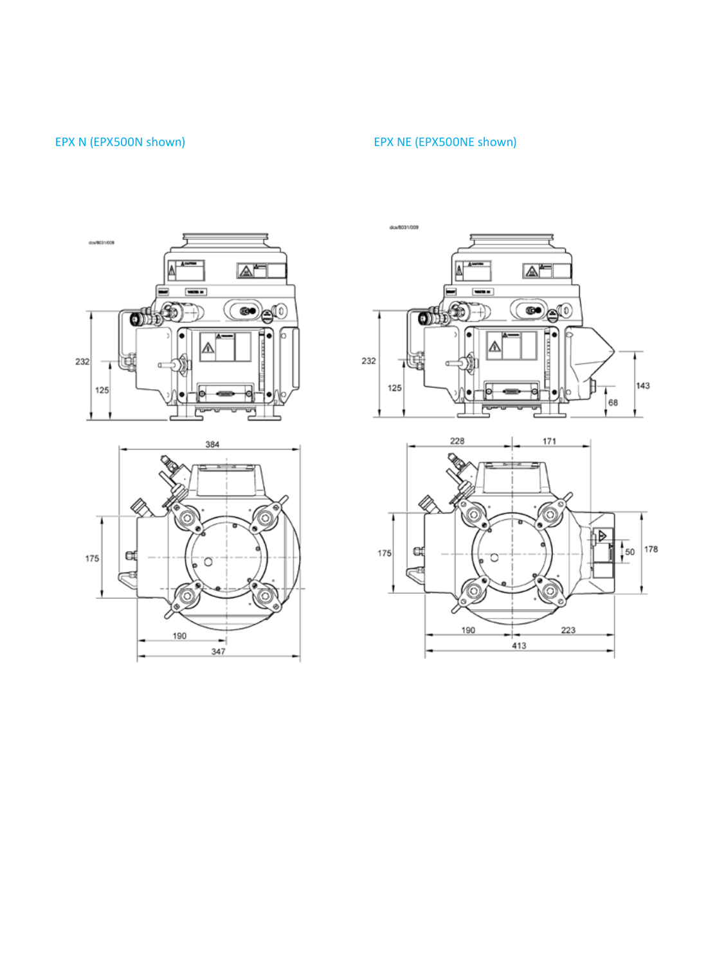#### EPX N (EPX500N shown) EPX NE (EPX500NE shown)